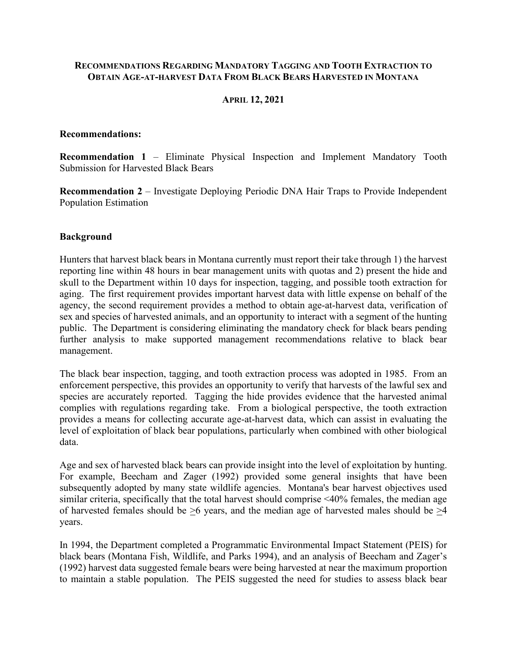### **RECOMMENDATIONS REGARDING MANDATORY TAGGING AND TOOTH EXTRACTION TO OBTAIN AGE-AT-HARVEST DATA FROM BLACK BEARS HARVESTED IN MONTANA**

### **APRIL 12, 2021**

#### **Recommendations:**

**Recommendation 1** – Eliminate Physical Inspection and Implement Mandatory Tooth Submission for Harvested Black Bears

**Recommendation 2** – Investigate Deploying Periodic DNA Hair Traps to Provide Independent Population Estimation

### **Background**

Hunters that harvest black bears in Montana currently must report their take through 1) the harvest reporting line within 48 hours in bear management units with quotas and 2) present the hide and skull to the Department within 10 days for inspection, tagging, and possible tooth extraction for aging. The first requirement provides important harvest data with little expense on behalf of the agency, the second requirement provides a method to obtain age-at-harvest data, verification of sex and species of harvested animals, and an opportunity to interact with a segment of the hunting public. The Department is considering eliminating the mandatory check for black bears pending further analysis to make supported management recommendations relative to black bear management.

The black bear inspection, tagging, and tooth extraction process was adopted in 1985. From an enforcement perspective, this provides an opportunity to verify that harvests of the lawful sex and species are accurately reported. Tagging the hide provides evidence that the harvested animal complies with regulations regarding take. From a biological perspective, the tooth extraction provides a means for collecting accurate age-at-harvest data, which can assist in evaluating the level of exploitation of black bear populations, particularly when combined with other biological data.

Age and sex of harvested black bears can provide insight into the level of exploitation by hunting. For example, Beecham and Zager (1992) provided some general insights that have been subsequently adopted by many state wildlife agencies. Montana's bear harvest objectives used similar criteria, specifically that the total harvest should comprise <40% females, the median age of harvested females should be  $\geq 6$  years, and the median age of harvested males should be  $\geq 4$ years.

In 1994, the Department completed a Programmatic Environmental Impact Statement (PEIS) for black bears (Montana Fish, Wildlife, and Parks 1994), and an analysis of Beecham and Zager's (1992) harvest data suggested female bears were being harvested at near the maximum proportion to maintain a stable population. The PEIS suggested the need for studies to assess black bear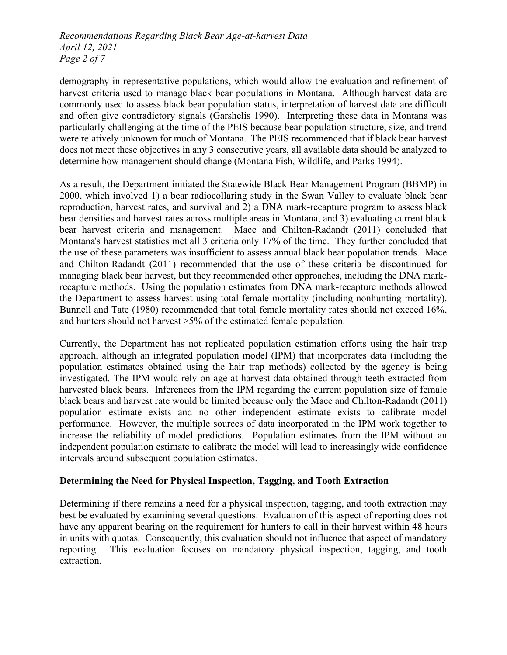*Recommendations Regarding Black Bear Age-at-harvest Data April 12, 2021 Page 2 of 7*

demography in representative populations, which would allow the evaluation and refinement of harvest criteria used to manage black bear populations in Montana. Although harvest data are commonly used to assess black bear population status, interpretation of harvest data are difficult and often give contradictory signals (Garshelis 1990). Interpreting these data in Montana was particularly challenging at the time of the PEIS because bear population structure, size, and trend were relatively unknown for much of Montana. The PEIS recommended that if black bear harvest does not meet these objectives in any 3 consecutive years, all available data should be analyzed to determine how management should change (Montana Fish, Wildlife, and Parks 1994).

As a result, the Department initiated the Statewide Black Bear Management Program (BBMP) in 2000, which involved 1) a bear radiocollaring study in the Swan Valley to evaluate black bear reproduction, harvest rates, and survival and 2) a DNA mark-recapture program to assess black bear densities and harvest rates across multiple areas in Montana, and 3) evaluating current black bear harvest criteria and management. Mace and Chilton-Radandt (2011) concluded that Montana's harvest statistics met all 3 criteria only 17% of the time. They further concluded that the use of these parameters was insufficient to assess annual black bear population trends. Mace and Chilton-Radandt (2011) recommended that the use of these criteria be discontinued for managing black bear harvest, but they recommended other approaches, including the DNA markrecapture methods. Using the population estimates from DNA mark-recapture methods allowed the Department to assess harvest using total female mortality (including nonhunting mortality). Bunnell and Tate (1980) recommended that total female mortality rates should not exceed 16%, and hunters should not harvest >5% of the estimated female population.

Currently, the Department has not replicated population estimation efforts using the hair trap approach, although an integrated population model (IPM) that incorporates data (including the population estimates obtained using the hair trap methods) collected by the agency is being investigated. The IPM would rely on age-at-harvest data obtained through teeth extracted from harvested black bears. Inferences from the IPM regarding the current population size of female black bears and harvest rate would be limited because only the Mace and Chilton-Radandt (2011) population estimate exists and no other independent estimate exists to calibrate model performance. However, the multiple sources of data incorporated in the IPM work together to increase the reliability of model predictions. Population estimates from the IPM without an independent population estimate to calibrate the model will lead to increasingly wide confidence intervals around subsequent population estimates.

### **Determining the Need for Physical Inspection, Tagging, and Tooth Extraction**

Determining if there remains a need for a physical inspection, tagging, and tooth extraction may best be evaluated by examining several questions. Evaluation of this aspect of reporting does not have any apparent bearing on the requirement for hunters to call in their harvest within 48 hours in units with quotas. Consequently, this evaluation should not influence that aspect of mandatory reporting. This evaluation focuses on mandatory physical inspection, tagging, and tooth extraction.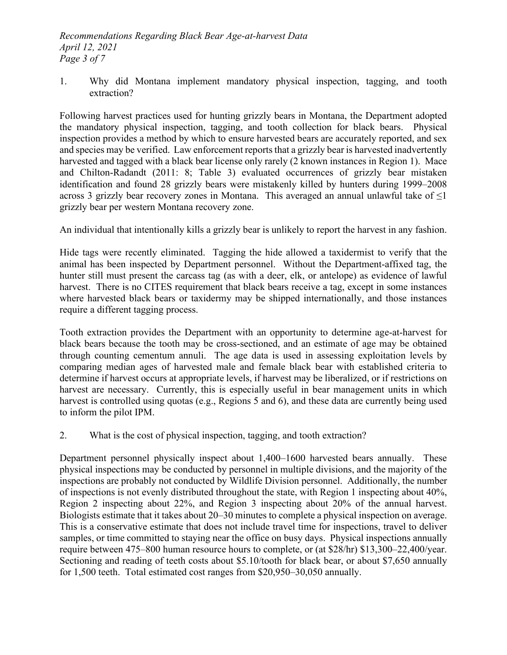1. Why did Montana implement mandatory physical inspection, tagging, and tooth extraction?

Following harvest practices used for hunting grizzly bears in Montana, the Department adopted the mandatory physical inspection, tagging, and tooth collection for black bears. Physical inspection provides a method by which to ensure harvested bears are accurately reported, and sex and species may be verified. Law enforcement reports that a grizzly bear is harvested inadvertently harvested and tagged with a black bear license only rarely (2 known instances in Region 1). Mace and Chilton-Radandt (2011: 8; Table 3) evaluated occurrences of grizzly bear mistaken identification and found 28 grizzly bears were mistakenly killed by hunters during 1999–2008 across 3 grizzly bear recovery zones in Montana. This averaged an annual unlawful take of  $\leq$ 1 grizzly bear per western Montana recovery zone.

An individual that intentionally kills a grizzly bear is unlikely to report the harvest in any fashion.

Hide tags were recently eliminated. Tagging the hide allowed a taxidermist to verify that the animal has been inspected by Department personnel. Without the Department-affixed tag, the hunter still must present the carcass tag (as with a deer, elk, or antelope) as evidence of lawful harvest. There is no CITES requirement that black bears receive a tag, except in some instances where harvested black bears or taxidermy may be shipped internationally, and those instances require a different tagging process.

Tooth extraction provides the Department with an opportunity to determine age-at-harvest for black bears because the tooth may be cross-sectioned, and an estimate of age may be obtained through counting cementum annuli. The age data is used in assessing exploitation levels by comparing median ages of harvested male and female black bear with established criteria to determine if harvest occurs at appropriate levels, if harvest may be liberalized, or if restrictions on harvest are necessary. Currently, this is especially useful in bear management units in which harvest is controlled using quotas (e.g., Regions 5 and 6), and these data are currently being used to inform the pilot IPM.

2. What is the cost of physical inspection, tagging, and tooth extraction?

Department personnel physically inspect about 1,400–1600 harvested bears annually. These physical inspections may be conducted by personnel in multiple divisions, and the majority of the inspections are probably not conducted by Wildlife Division personnel. Additionally, the number of inspections is not evenly distributed throughout the state, with Region 1 inspecting about 40%, Region 2 inspecting about 22%, and Region 3 inspecting about 20% of the annual harvest. Biologists estimate that it takes about 20–30 minutes to complete a physical inspection on average. This is a conservative estimate that does not include travel time for inspections, travel to deliver samples, or time committed to staying near the office on busy days. Physical inspections annually require between 475–800 human resource hours to complete, or (at \$28/hr) \$13,300–22,400/year. Sectioning and reading of teeth costs about \$5.10/tooth for black bear, or about \$7,650 annually for 1,500 teeth. Total estimated cost ranges from \$20,950–30,050 annually.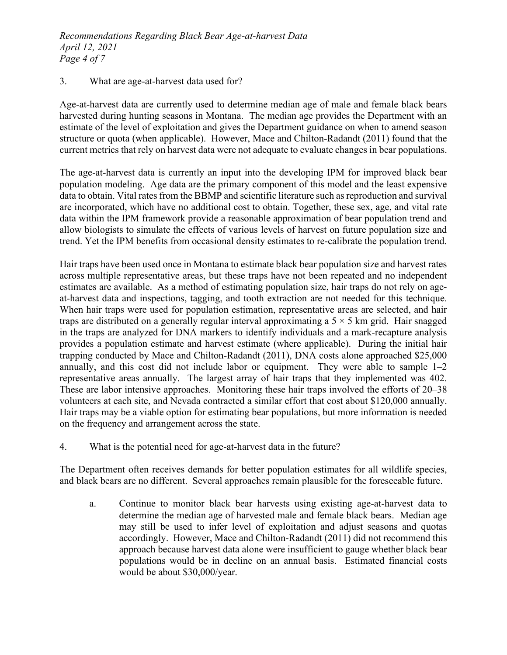## 3. What are age-at-harvest data used for?

Age-at-harvest data are currently used to determine median age of male and female black bears harvested during hunting seasons in Montana. The median age provides the Department with an estimate of the level of exploitation and gives the Department guidance on when to amend season structure or quota (when applicable). However, Mace and Chilton-Radandt (2011) found that the current metrics that rely on harvest data were not adequate to evaluate changes in bear populations.

The age-at-harvest data is currently an input into the developing IPM for improved black bear population modeling. Age data are the primary component of this model and the least expensive data to obtain. Vital rates from the BBMP and scientific literature such as reproduction and survival are incorporated, which have no additional cost to obtain. Together, these sex, age, and vital rate data within the IPM framework provide a reasonable approximation of bear population trend and allow biologists to simulate the effects of various levels of harvest on future population size and trend. Yet the IPM benefits from occasional density estimates to re-calibrate the population trend.

Hair traps have been used once in Montana to estimate black bear population size and harvest rates across multiple representative areas, but these traps have not been repeated and no independent estimates are available. As a method of estimating population size, hair traps do not rely on ageat-harvest data and inspections, tagging, and tooth extraction are not needed for this technique. When hair traps were used for population estimation, representative areas are selected, and hair traps are distributed on a generally regular interval approximating a  $5 \times 5$  km grid. Hair snagged in the traps are analyzed for DNA markers to identify individuals and a mark-recapture analysis provides a population estimate and harvest estimate (where applicable). During the initial hair trapping conducted by Mace and Chilton-Radandt (2011), DNA costs alone approached \$25,000 annually, and this cost did not include labor or equipment. They were able to sample 1–2 representative areas annually. The largest array of hair traps that they implemented was 402. These are labor intensive approaches. Monitoring these hair traps involved the efforts of 20–38 volunteers at each site, and Nevada contracted a similar effort that cost about \$120,000 annually. Hair traps may be a viable option for estimating bear populations, but more information is needed on the frequency and arrangement across the state.

4. What is the potential need for age-at-harvest data in the future?

The Department often receives demands for better population estimates for all wildlife species, and black bears are no different. Several approaches remain plausible for the foreseeable future.

a. Continue to monitor black bear harvests using existing age-at-harvest data to determine the median age of harvested male and female black bears. Median age may still be used to infer level of exploitation and adjust seasons and quotas accordingly. However, Mace and Chilton-Radandt (2011) did not recommend this approach because harvest data alone were insufficient to gauge whether black bear populations would be in decline on an annual basis. Estimated financial costs would be about \$30,000/year.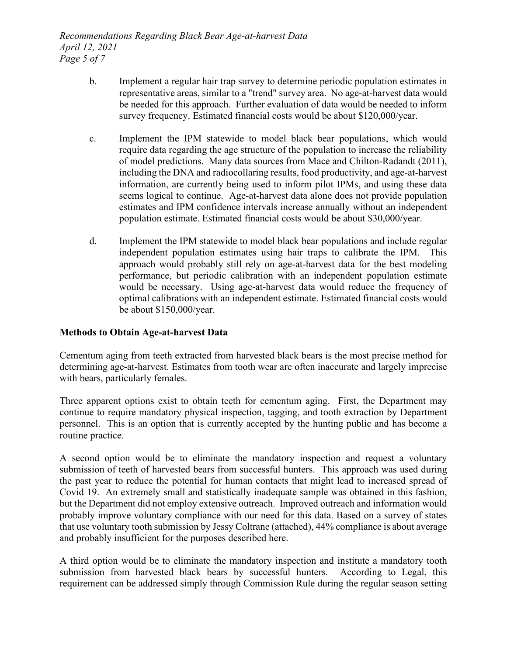*Recommendations Regarding Black Bear Age-at-harvest Data April 12, 2021 Page 5 of 7*

- b. Implement a regular hair trap survey to determine periodic population estimates in representative areas, similar to a "trend" survey area. No age-at-harvest data would be needed for this approach. Further evaluation of data would be needed to inform survey frequency. Estimated financial costs would be about \$120,000/year.
- c. Implement the IPM statewide to model black bear populations, which would require data regarding the age structure of the population to increase the reliability of model predictions. Many data sources from Mace and Chilton-Radandt (2011), including the DNA and radiocollaring results, food productivity, and age-at-harvest information, are currently being used to inform pilot IPMs, and using these data seems logical to continue. Age-at-harvest data alone does not provide population estimates and IPM confidence intervals increase annually without an independent population estimate. Estimated financial costs would be about \$30,000/year.
- d. Implement the IPM statewide to model black bear populations and include regular independent population estimates using hair traps to calibrate the IPM. This approach would probably still rely on age-at-harvest data for the best modeling performance, but periodic calibration with an independent population estimate would be necessary. Using age-at-harvest data would reduce the frequency of optimal calibrations with an independent estimate. Estimated financial costs would be about \$150,000/year.

# **Methods to Obtain Age-at-harvest Data**

Cementum aging from teeth extracted from harvested black bears is the most precise method for determining age-at-harvest. Estimates from tooth wear are often inaccurate and largely imprecise with bears, particularly females.

Three apparent options exist to obtain teeth for cementum aging. First, the Department may continue to require mandatory physical inspection, tagging, and tooth extraction by Department personnel. This is an option that is currently accepted by the hunting public and has become a routine practice.

A second option would be to eliminate the mandatory inspection and request a voluntary submission of teeth of harvested bears from successful hunters. This approach was used during the past year to reduce the potential for human contacts that might lead to increased spread of Covid 19. An extremely small and statistically inadequate sample was obtained in this fashion, but the Department did not employ extensive outreach. Improved outreach and information would probably improve voluntary compliance with our need for this data. Based on a survey of states that use voluntary tooth submission by Jessy Coltrane (attached), 44% compliance is about average and probably insufficient for the purposes described here.

A third option would be to eliminate the mandatory inspection and institute a mandatory tooth submission from harvested black bears by successful hunters. According to Legal, this requirement can be addressed simply through Commission Rule during the regular season setting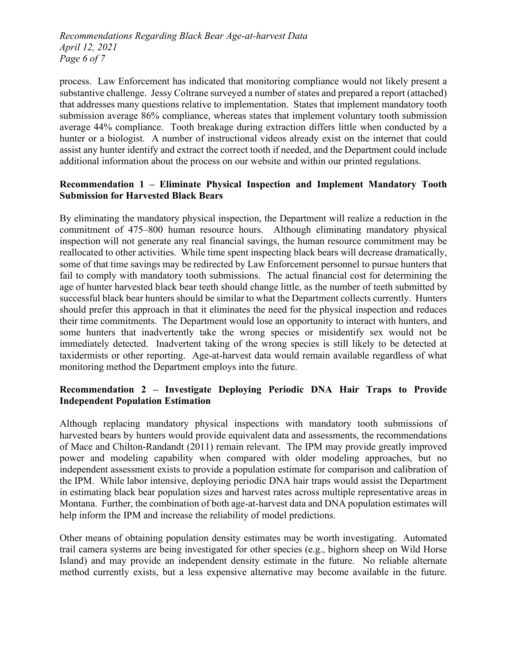*Recommendations Regarding Black Bear Age-at-harvest Data April 12, 2021 Page 6 of 7*

process. Law Enforcement has indicated that monitoring compliance would not likely present a substantive challenge. Jessy Coltrane surveyed a number of states and prepared a report (attached) that addresses many questions relative to implementation. States that implement mandatory tooth submission average 86% compliance, whereas states that implement voluntary tooth submission average 44% compliance. Tooth breakage during extraction differs little when conducted by a hunter or a biologist. A number of instructional videos already exist on the internet that could assist any hunter identify and extract the correct tooth if needed, and the Department could include additional information about the process on our website and within our printed regulations.

# **Recommendation 1 – Eliminate Physical Inspection and Implement Mandatory Tooth Submission for Harvested Black Bears**

By eliminating the mandatory physical inspection, the Department will realize a reduction in the commitment of 475–800 human resource hours. Although eliminating mandatory physical inspection will not generate any real financial savings, the human resource commitment may be reallocated to other activities. While time spent inspecting black bears will decrease dramatically, some of that time savings may be redirected by Law Enforcement personnel to pursue hunters that fail to comply with mandatory tooth submissions. The actual financial cost for determining the age of hunter harvested black bear teeth should change little, as the number of teeth submitted by successful black bear hunters should be similar to what the Department collects currently. Hunters should prefer this approach in that it eliminates the need for the physical inspection and reduces their time commitments. The Department would lose an opportunity to interact with hunters, and some hunters that inadvertently take the wrong species or misidentify sex would not be immediately detected. Inadvertent taking of the wrong species is still likely to be detected at taxidermists or other reporting. Age-at-harvest data would remain available regardless of what monitoring method the Department employs into the future.

# **Recommendation 2 – Investigate Deploying Periodic DNA Hair Traps to Provide Independent Population Estimation**

Although replacing mandatory physical inspections with mandatory tooth submissions of harvested bears by hunters would provide equivalent data and assessments, the recommendations of Mace and Chilton-Randandt (2011) remain relevant. The IPM may provide greatly improved power and modeling capability when compared with older modeling approaches, but no independent assessment exists to provide a population estimate for comparison and calibration of the IPM. While labor intensive, deploying periodic DNA hair traps would assist the Department in estimating black bear population sizes and harvest rates across multiple representative areas in Montana. Further, the combination of both age-at-harvest data and DNA population estimates will help inform the IPM and increase the reliability of model predictions.

Other means of obtaining population density estimates may be worth investigating. Automated trail camera systems are being investigated for other species (e.g., bighorn sheep on Wild Horse Island) and may provide an independent density estimate in the future. No reliable alternate method currently exists, but a less expensive alternative may become available in the future.